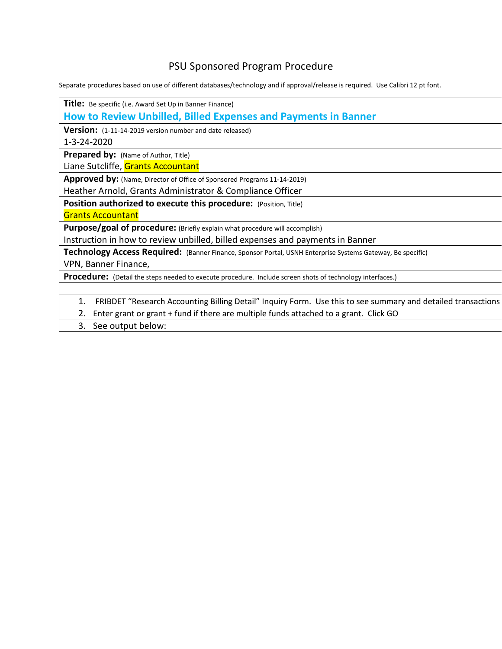## PSU Sponsored Program Procedure

Separate procedures based on use of different databases/technology and if approval/release is required. Use Calibri 12 pt font.

| <b>Title:</b> Be specific (i.e. Award Set Up in Banner Finance)                                                    |
|--------------------------------------------------------------------------------------------------------------------|
| How to Review Unbilled, Billed Expenses and Payments in Banner                                                     |
| Version: (1-11-14-2019 version number and date released)                                                           |
| 1-3-24-2020                                                                                                        |
| Prepared by: (Name of Author, Title)                                                                               |
| Liane Sutcliffe, Grants Accountant                                                                                 |
| Approved by: (Name, Director of Office of Sponsored Programs 11-14-2019)                                           |
| Heather Arnold, Grants Administrator & Compliance Officer                                                          |
| Position authorized to execute this procedure: (Position, Title)                                                   |
| <b>Grants Accountant</b>                                                                                           |
| <b>Purpose/goal of procedure:</b> (Briefly explain what procedure will accomplish)                                 |
| Instruction in how to review unbilled, billed expenses and payments in Banner                                      |
| Technology Access Required: (Banner Finance, Sponsor Portal, USNH Enterprise Systems Gateway, Be specific)         |
| VPN, Banner Finance,                                                                                               |
| Procedure: (Detail the steps needed to execute procedure. Include screen shots of technology interfaces.)          |
|                                                                                                                    |
| 1.<br>FRIBDET "Research Accounting Billing Detail" Inquiry Form. Use this to see summary and detailed transactions |
| Enter grant or grant + fund if there are multiple funds attached to a grant. Click GO<br>2.                        |
| 3.<br>See output below:                                                                                            |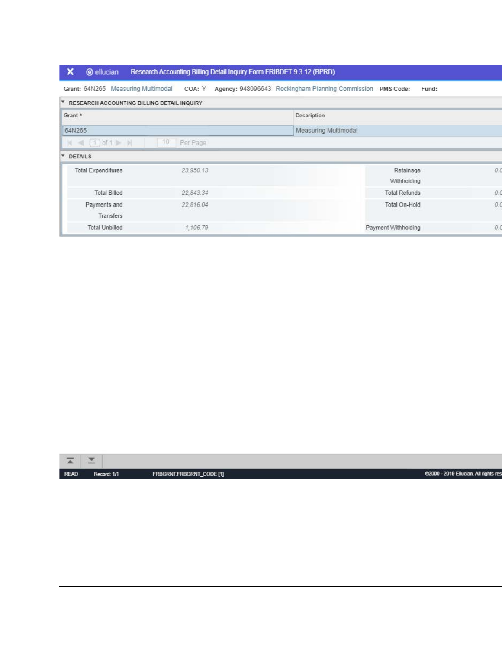| ×<br><b>@</b> ellucian    | Research Accounting Billing Detail Inquiry Form FRIBDET 9.3.12 (BPRD) |                                                                                                      |                      |                |
|---------------------------|-----------------------------------------------------------------------|------------------------------------------------------------------------------------------------------|----------------------|----------------|
|                           |                                                                       | Grant: 64N265 Measuring Multimodal COA: Y Agency: 948096643 Rockingham Planning Commission PMS Code: | Fund:                |                |
| ×                         | RESEARCH ACCOUNTING BILLING DETAIL INQUIRY                            |                                                                                                      |                      |                |
| Grant *                   |                                                                       | Description                                                                                          |                      |                |
| 64N265                    |                                                                       | Measuring Multimodal                                                                                 |                      |                |
| H < (1) of 1 》 H          | 10<br>Per Page                                                        |                                                                                                      |                      |                |
| <b>V</b> DETAILS          |                                                                       |                                                                                                      |                      |                |
| <b>Total Expenditures</b> | 23.950.13                                                             |                                                                                                      | Retainage            | O <sub>0</sub> |
|                           |                                                                       |                                                                                                      | Withholding          |                |
| <b>Total Billed</b>       | 22,843.34                                                             |                                                                                                      | <b>Total Refunds</b> | 0.0            |
| Payments and              | 22.816.04                                                             |                                                                                                      | Total On-Hold        | 0.1            |
| Transfers                 |                                                                       |                                                                                                      |                      |                |
| <b>Total Unbilled</b>     | 1,106.79                                                              |                                                                                                      | Payment Withholding  | 0.             |

 $\Gamma$ 

| $\overline{\blacktriangle}$ | $\mathbf{r}$ |                          |                                       |
|-----------------------------|--------------|--------------------------|---------------------------------------|
| <b>READ</b>                 | Record: 1/1  | FRBGRNT.FRBGRNT_CODE [1] | 62000 - 2019 Ellucian. All rights res |
|                             |              |                          |                                       |
|                             |              |                          |                                       |
|                             |              |                          |                                       |
|                             |              |                          |                                       |
|                             |              |                          |                                       |
|                             |              |                          |                                       |
|                             |              |                          |                                       |
|                             |              |                          |                                       |
|                             |              |                          |                                       |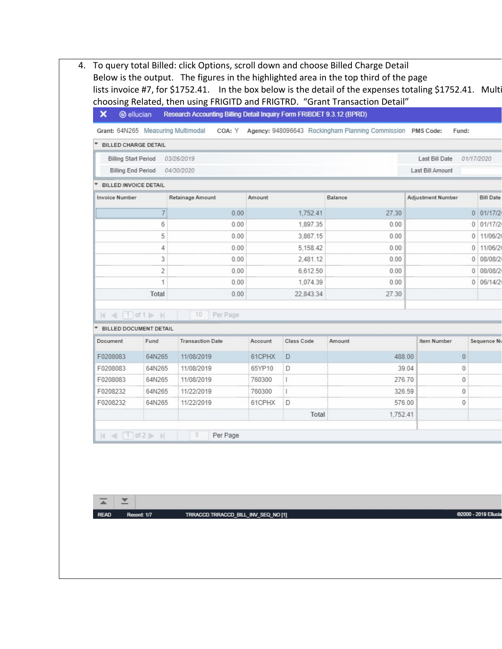4. To query total Billed: click Options, scroll down and choose Billed Charge Detail Below is the output. The figures in the highlighted area in the top third of the page lists invoice #7, for \$1752.41. In the box below is the detail of the expenses totaling \$1752.41. Mult choosing Related, then using FRIGITD and FRIGTRD. "Grant Transaction Detail"

|                                                  |                | Grant: 64N265 Measuring Multimodal |          |              | COA: Y Agency: 948096643 Rockingham Planning Commission PMS Code: | Fund:                    |                         |
|--------------------------------------------------|----------------|------------------------------------|----------|--------------|-------------------------------------------------------------------|--------------------------|-------------------------|
| BILLED CHARGE DETAIL                             |                |                                    |          |              |                                                                   |                          |                         |
| <b>Billing Start Period</b>                      |                | 03/26/2019                         |          |              |                                                                   | Last Bill Date           | 01/17/2020              |
| <b>Billing End Period</b>                        |                | 04/30/2020                         |          |              |                                                                   | Last Bill Amount         |                         |
| BILLED INVOICE DETAIL                            |                |                                    |          |              |                                                                   |                          |                         |
| <b>Invoice Number</b>                            |                | Retainage Amount                   | Amount   |              | Balance                                                           | <b>Adjustment Number</b> | <b>Bill Date</b>        |
|                                                  | $\overline{7}$ | 0.00                               |          | 1,752.41     | 27.30                                                             |                          | $0$ 01/17/2             |
|                                                  | 6              | 0.00                               |          | 1,897.35     | 0.00                                                              |                          | 01/17/2<br>0            |
|                                                  | 5              | 0.00                               |          | 3,867.15     | 0.00                                                              |                          | 11/06/20<br>$\theta$    |
|                                                  | 4              | 0.00                               |          | 5.158.42     | 0.00                                                              |                          | 11/06/2<br>$\mathbf{0}$ |
|                                                  | 3              | 0.00                               |          | 2,481.12     | 0.00                                                              |                          | 08/08/2<br>0            |
|                                                  | 2              | 0.00                               | 6,612.50 |              | 0.00                                                              |                          | 0   08/08/2             |
|                                                  | 1              | 0.00                               |          | 1,074.39     | 0.00                                                              |                          | 0   06/14/2             |
|                                                  | Total          | 0.00                               |          | 22,843.34    | 27.30                                                             |                          |                         |
|                                                  |                |                                    |          |              |                                                                   |                          |                         |
| $M \ll \lceil 1 \rceil$ of $1 \rceil \rceil$ $M$ |                | 10<br>Per Page                     |          |              |                                                                   |                          |                         |
| BILLED DOCUMENT DETAIL                           |                | <b>Transaction Date</b>            |          | Class Code   | Amount                                                            | Item Number              |                         |
| Document                                         | Fund           |                                    | Account  |              |                                                                   |                          | Sequence Nu             |
| F0208083                                         | 64N265         | 11/08/2019                         | 61CPHX   | D            | 488.00                                                            | $\theta$                 |                         |
| F0208083                                         | 64N265         | 11/08/2019                         | 65YP10   | D            |                                                                   | $\theta$<br>39.04        |                         |
| F0208083                                         | 64N265         | 11/08/2019                         | 760300   | $\mathbb{E}$ | 276.70                                                            | 0                        |                         |
| F0208232                                         | 64N265         | 11/22/2019                         | 760300   | $\mathbf{L}$ | 326.59                                                            | $\theta$                 |                         |
| F0208232                                         | 64N265         | 11/22/2019                         | 61CPHX   | D            | 576.00                                                            | $\theta$                 |                         |
|                                                  |                |                                    |          | Total        | 1.752.41                                                          |                          |                         |

 $\overline{\phantom{a}}$  $\overline{\blacktriangle}$ 

READ Record: 1/7 TRRACCD.TRRACCD\_BILL\_INV\_SEQ\_NO [1]

@2000 - 2019 Ellud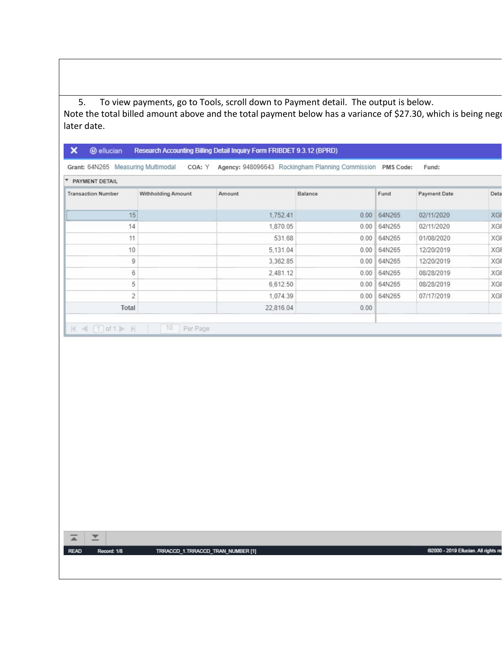5. To view payments, go to Tools, scroll down to Payment detail. The output is below.

Note the total billed amount above and the total payment below has a variance of \$27.30, which is being negot later date.

| * PAYMENT DETAIL                 |                           |           |         |               |                     |      |
|----------------------------------|---------------------------|-----------|---------|---------------|---------------------|------|
| <b>Transaction Number</b>        | <b>Withholding Amount</b> | Amount    | Balance | Fund          | <b>Payment Date</b> | Deta |
| 15                               |                           | 1,752.41  |         | 0.00   64N265 | 02/11/2020          | XGF  |
| 14                               |                           | 1,870.05  |         | 0.00   64N265 | 02/11/2020          | XGF  |
| 11                               |                           | 531.68    |         | 0.00   64N265 | 01/08/2020          | XGF  |
| 10                               |                           | 5,131.04  |         | 0.00   64N265 | 12/20/2019          | XGF  |
| 9                                |                           | 3,362.85  |         | 0.00   64N265 | 12/20/2019          | XGF  |
| 6                                |                           | 2,481.12  |         | 0.00   64N265 | 08/28/2019          | XGF  |
| 5                                |                           | 6,612.50  |         | 0.00   64N265 | 08/28/2019          | XGF  |
| $\overline{2}$                   |                           | 1,074.39  |         | 0.00   64N265 | 07/17/2019          | XGF  |
| Total                            |                           | 22,816.04 | 0.00    |               |                     |      |
| $ A $ $\leq  A $ of $1 \geq  A $ |                           |           |         |               |                     |      |
|                                  |                           |           |         |               |                     |      |
|                                  |                           |           |         |               |                     |      |
|                                  |                           |           |         |               |                     |      |
|                                  |                           |           |         |               |                     |      |
|                                  |                           |           |         |               |                     |      |
|                                  |                           |           |         |               |                     |      |
|                                  |                           |           |         |               |                     |      |

READ Record: 1/8 TRRACCD\_1.TRRACCD\_TRAN\_NUMBER [1]

@2000 - 2019 Ellucian. All rights re